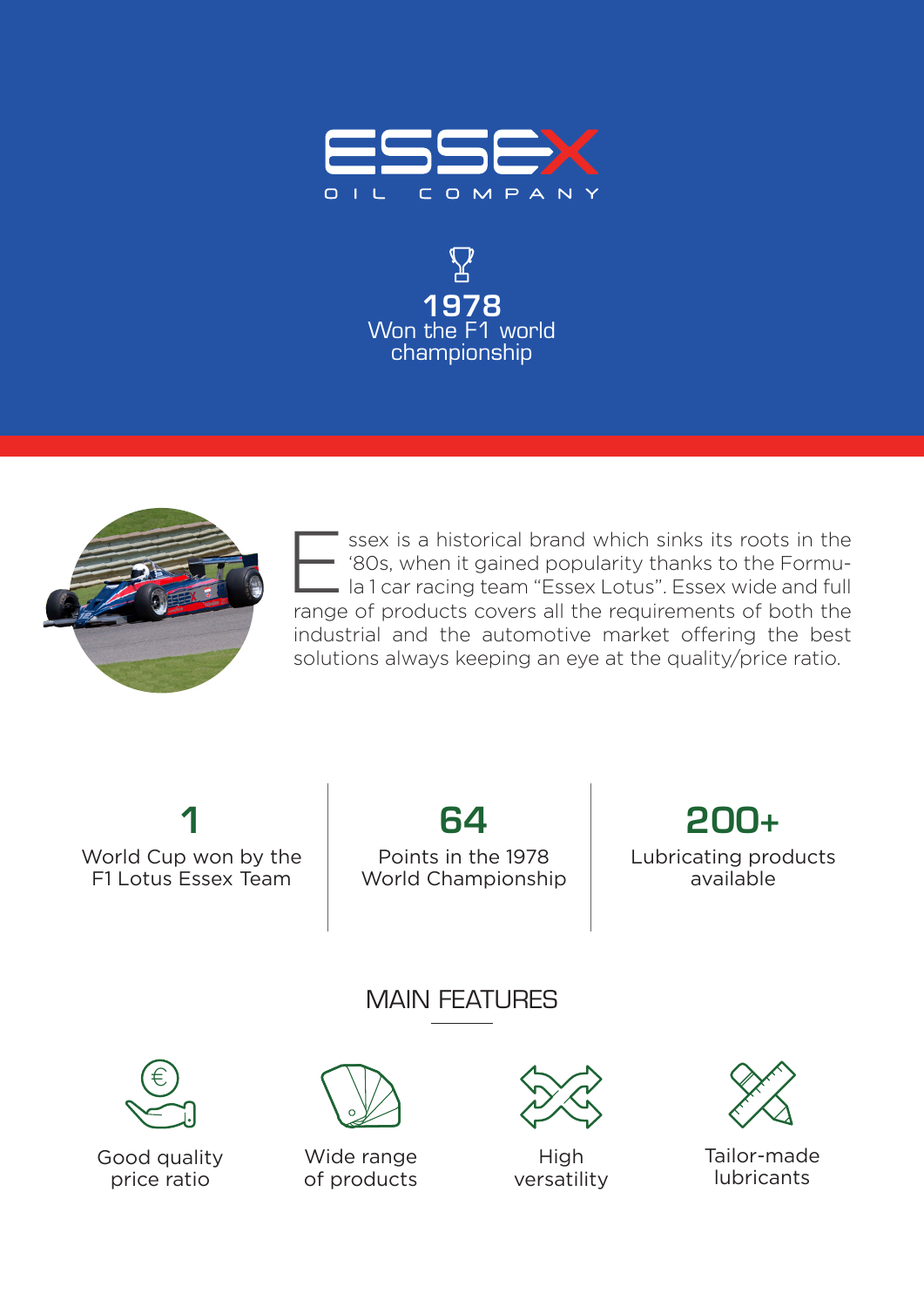





ssex is a historical brand which sinks its roots in the '80s, when it gained popularity thanks to the Formula 1 car racing team "Essex Lotus". Essex wide and full range of products covers all the requirements of both the industrial and the automotive market offering the best solutions always keeping an eye at the quality/price ratio. E

1 World Cup won by the F1 Lotus Essex Team

64

Points in the 1978 World Championship

200+ Lubricating products available

MAIN FEATURES



Good quality price ratio



Wide range of products



**High** versatility



Tailor-made lubricants